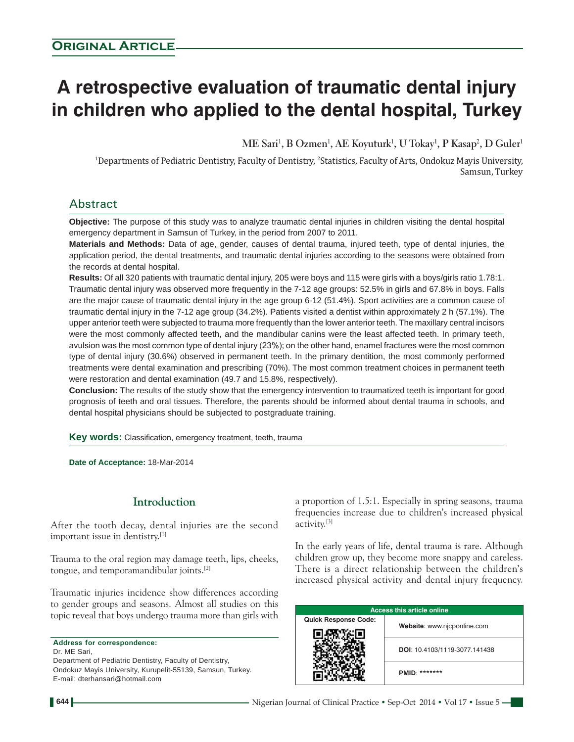# **A retrospective evaluation of traumatic dental injury in children who applied to the dental hospital, Turkey**

 $\mathbf{M}\mathbf{E}$  Sari<sup>1</sup>, **B** Ozmen<sup>1</sup>,  $\mathbf{A}\mathbf{E}$  Koyuturk<sup>1</sup>, U Tokay<sup>1</sup>, **P** Kasap<sup>2</sup>, D Guler<sup>1</sup>

<sup>1</sup>Departments of Pediatric Dentistry, Faculty of Dentistry, <sup>2</sup>Statistics, Faculty of Arts, Ondokuz Mayis University, Samsun, Turkey

# Abstract

**Objective:** The purpose of this study was to analyze traumatic dental injuries in children visiting the dental hospital emergency department in Samsun of Turkey, in the period from 2007 to 2011.

**Materials and Methods:** Data of age, gender, causes of dental trauma, injured teeth, type of dental injuries, the application period, the dental treatments, and traumatic dental injuries according to the seasons were obtained from the records at dental hospital.

**Results:** Of all 320 patients with traumatic dental injury, 205 were boys and 115 were girls with a boys/girls ratio 1.78:1. Traumatic dental injury was observed more frequently in the 7-12 age groups: 52.5% in girls and 67.8% in boys. Falls are the major cause of traumatic dental injury in the age group 6-12 (51.4%). Sport activities are a common cause of traumatic dental injury in the 7-12 age group (34.2%). Patients visited a dentist within approximately 2 h (57.1%). The upper anterior teeth were subjected to trauma more frequently than the lower anterior teeth. The maxillary central incisors were the most commonly affected teeth, and the mandibular canins were the least affected teeth. In primary teeth, avulsion was the most common type of dental injury (23%); on the other hand, enamel fractures were the most common type of dental injury (30.6%) observed in permanent teeth. In the primary dentition, the most commonly performed treatments were dental examination and prescribing (70%). The most common treatment choices in permanent teeth were restoration and dental examination (49.7 and 15.8%, respectively).

**Conclusion:** The results of the study show that the emergency intervention to traumatized teeth is important for good prognosis of teeth and oral tissues. Therefore, the parents should be informed about dental trauma in schools, and dental hospital physicians should be subjected to postgraduate training.

**Key words:** Classification, emergency treatment, teeth, trauma

**Date of Acceptance:** 18-Mar-2014

## **Introduction**

After the tooth decay, dental injuries are the second important issue in dentistry.[1]

Trauma to the oral region may damage teeth, lips, cheeks, tongue, and temporamandibular joints.[2]

Traumatic injuries incidence show differences according to gender groups and seasons. Almost all studies on this topic reveal that boys undergo trauma more than girls with

**Address for correspondence:** Dr. ME Sari, Department of Pediatric Dentistry, Faculty of Dentistry, Ondokuz Mayis University, Kurupelit-55139, Samsun, Turkey. E-mail: dterhansari@hotmail.com

a proportion of 1.5:1. Especially in spring seasons, trauma frequencies increase due to children's increased physical activity.[3]

In the early years of life, dental trauma is rare. Although children grow up, they become more snappy and careless. There is a direct relationship between the children's increased physical activity and dental injury frequency.

| <b>Access this article online</b> |                               |  |  |  |
|-----------------------------------|-------------------------------|--|--|--|
| <b>Quick Response Code:</b>       | Website: www.njcponline.com   |  |  |  |
|                                   | DOI: 10.4103/1119-3077.141438 |  |  |  |
|                                   | *******<br>PMID:              |  |  |  |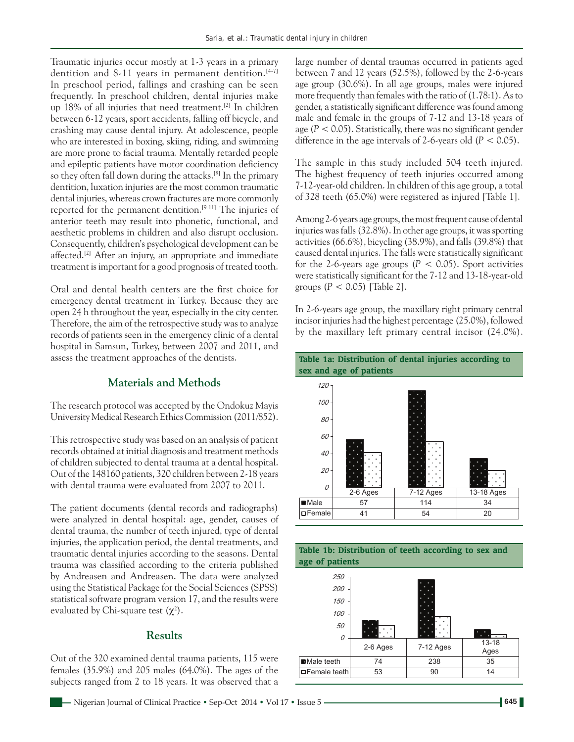Traumatic injuries occur mostly at 1‑3 years in a primary dentition and 8-11 years in permanent dentition.<sup>[4-7]</sup> In preschool period, fallings and crashing can be seen frequently. In preschool children, dental injuries make up 18% of all injuries that need treatment.[2] In children between 6‑12 years, sport accidents, falling off bicycle, and crashing may cause dental injury. At adolescence, people who are interested in boxing, skiing, riding, and swimming are more prone to facial trauma. Mentally retarded people and epileptic patients have motor coordination deficiency so they often fall down during the attacks.<sup>[8]</sup> In the primary dentition, luxation injuries are the most common traumatic dental injuries, whereas crown fractures are more commonly reported for the permanent dentition.<sup>[9-11]</sup> The injuries of anterior teeth may result into phonetic, functional, and aesthetic problems in children and also disrupt occlusion. Consequently, children's psychological development can be affected.<sup>[2]</sup> After an injury, an appropriate and immediate treatment is important for a good prognosis of treated tooth.

Oral and dental health centers are the first choice for emergency dental treatment in Turkey. Because they are open 24 h throughout the year, especially in the city center. Therefore, the aim of the retrospective study was to analyze records of patients seen in the emergency clinic of a dental hospital in Samsun, Turkey, between 2007 and 2011, and assess the treatment approaches of the dentists.

# **Materials and Methods**

The research protocol was accepted by the Ondokuz Mayis University Medical Research Ethics Commission (2011/852).

This retrospective study was based on an analysis of patient records obtained at initial diagnosis and treatment methods of children subjected to dental trauma at a dental hospital. Out of the 148160 patients, 320 children between 2‑18 years with dental trauma were evaluated from 2007 to 2011.

The patient documents (dental records and radiographs) were analyzed in dental hospital: age, gender, causes of dental trauma, the number of teeth injured, type of dental injuries, the application period, the dental treatments, and traumatic dental injuries according to the seasons. Dental trauma was classified according to the criteria published by Andreasen and Andreasen. The data were analyzed using the Statistical Package for the Social Sciences (SPSS) statistical software program version 17, and the results were evaluated by Chi-square test  $(\chi^2)$ .

### **Results**

Out of the 320 examined dental trauma patients, 115 were females (35.9%) and 205 males (64.0%). The ages of the subjects ranged from 2 to 18 years. It was observed that a large number of dental traumas occurred in patients aged between 7 and 12 years (52.5%), followed by the 2‑6‑years age group (30.6%). In all age groups, males were injured more frequently than females with the ratio of  $(1.78:1)$ . As to gender, a statistically significant difference was found among male and female in the groups of 7‑12 and 13‑18 years of age (*P* < 0.05). Statistically, there was no significant gender difference in the age intervals of  $2-6$ -years old  $(P < 0.05)$ .

The sample in this study included 504 teeth injured. The highest frequency of teeth injuries occurred among 7‑12‑year‑old children. In children of this age group, a total of 328 teeth (65.0%) were registered as injured [Table 1].

Among 2‑6years age groups, the most frequent cause of dental injuries was falls(32.8%). In other age groups, it was sporting activities(66.6%), bicycling (38.9%), and falls(39.8%) that caused dental injuries. The falls were statistically significant for the 2-6-years age groups  $(P < 0.05)$ . Sport activities were statistically significant for the 7-12 and 13-18-year-old groups  $(P < 0.05)$  [Table 2].

In 2‑6‑years age group, the maxillary right primary central incisor injuries had the highest percentage (25.0%), followed by the maxillary left primary central incisor (24.0%).





**Table 1b: Distribution of teeth according to sex and**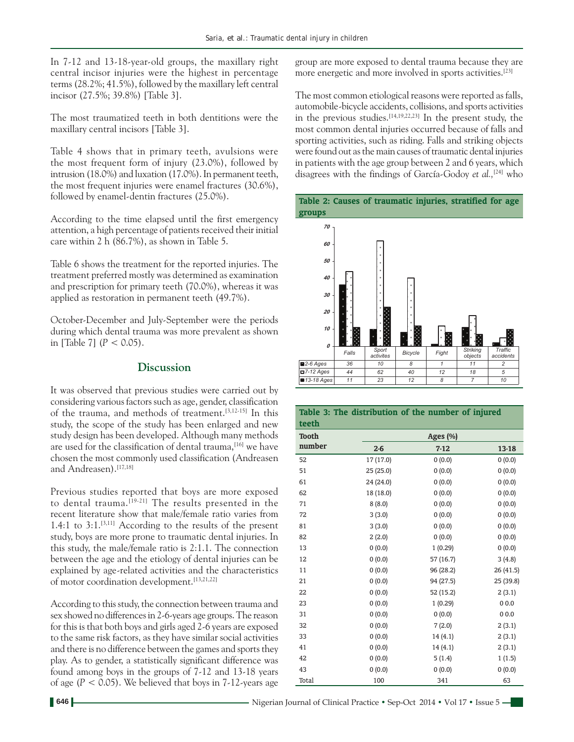In 7‑12 and 13‑18‑year‑old groups, the maxillary right central incisor injuries were the highest in percentage terms(28.2%; 41.5%), followed by the maxillary left central incisor (27.5%; 39.8%) [Table 3].

The most traumatized teeth in both dentitions were the maxillary central incisors [Table 3].

Table 4 shows that in primary teeth, avulsions were the most frequent form of injury (23.0%), followed by intrusion (18.0%) and luxation (17.0%). In permanent teeth, the most frequent injuries were enamel fractures (30.6%), followed by enamel-dentin fractures (25.0%).

According to the time elapsed until the first emergency attention, a high percentage of patients received their initial care within 2 h (86.7%), as shown in Table 5.

Table 6 shows the treatment for the reported injuries. The treatment preferred mostly was determined as examination and prescription for primary teeth (70.0%), whereas it was applied as restoration in permanent teeth (49.7%).

October‑December and July‑September were the periods during which dental trauma was more prevalent as shown in [Table 7]  $(P < 0.05)$ .

#### **Discussion**

It was observed that previous studies were carried out by considering various factors such as age, gender, classification of the trauma, and methods of treatment.[3,12‑15] In this study, the scope of the study has been enlarged and new study design has been developed. Although many methods are used for the classification of dental trauma,<sup>[16]</sup> we have chosen the most commonly used classification (Andreasen and Andreasen).<sup>[17,18]</sup>

Previous studies reported that boys are more exposed to dental trauma.<sup>[19-21]</sup> The results presented in the recent literature show that male/female ratio varies from 1.4:1 to  $3:1.^{[3,11]}$  According to the results of the present study, boys are more prone to traumatic dental injuries. In this study, the male/female ratio is 2:1.1. The connection between the age and the etiology of dental injuries can be explained by age-related activities and the characteristics of motor coordination development.[13,21,22]

According to this study, the connection between trauma and sex showed no differences in 2‑6‑years age groups. The reason for this is that both boys and girls aged 2‑6 years are exposed to the same risk factors, as they have similar social activities and there is no difference between the games and sports they play. As to gender, a statistically significant difference was found among boys in the groups of 7‑12 and 13‑18 years of age  $(P < 0.05)$ . We believed that boys in 7-12-years age group are more exposed to dental trauma because they are more energetic and more involved in sports activities.[23]

The most common etiological reasons were reported as falls, automobile‑bicycle accidents, collisions, and sports activities in the previous studies.<sup>[14,19,22,23]</sup> In the present study, the most common dental injuries occurred because of falls and sporting activities, such as riding. Falls and striking objects were found out as the main causes of traumatic dental injuries in patients with the age group between 2 and 6 years, which disagrees with the findings of García‑Godoy *et al.,*[24] who



| Table 3: The distribution of the number of injured<br>teeth |             |           |           |  |
|-------------------------------------------------------------|-------------|-----------|-----------|--|
| <b>Tooth</b>                                                | Ages $(\%)$ |           |           |  |
| number                                                      | $2-6$       | $7-12$    | 13-18     |  |
| 52                                                          | 17 (17.0)   | 0(0.0)    | 0(0.0)    |  |
| 51                                                          | 25(25.0)    | 0(0.0)    | 0(0.0)    |  |
| 61                                                          | 24 (24.0)   | 0(0.0)    | 0(0.0)    |  |
| 62                                                          | 18 (18.0)   | 0(0.0)    | 0(0.0)    |  |
| 71                                                          | 8(8.0)      | 0(0.0)    | 0(0.0)    |  |
| 72                                                          | 3(3.0)      | 0(0.0)    | 0(0.0)    |  |
| 81                                                          | 3(3.0)      | 0(0.0)    | 0(0.0)    |  |
| 82                                                          | 2(2.0)      | 0(0.0)    | 0(0.0)    |  |
| 13                                                          | 0(0.0)      | 1(0.29)   | 0(0.0)    |  |
| 12                                                          | 0(0.0)      | 57 (16.7) | 3(4.8)    |  |
| 11                                                          | 0(0.0)      | 96 (28.2) | 26 (41.5) |  |
| 21                                                          | 0(0.0)      | 94 (27.5) | 25 (39.8) |  |
| 22                                                          | 0(0.0)      | 52 (15.2) | 2(3.1)    |  |
| 23                                                          | 0(0.0)      | 1(0.29)   | 0.00      |  |
| 31                                                          | 0(0.0)      | 0(0.0)    | 0.00      |  |
| 32                                                          | 0(0.0)      | 7(2.0)    | 2(3.1)    |  |
| 33                                                          | 0(0.0)      | 14(4.1)   | 2(3.1)    |  |
| 41                                                          | 0(0.0)      | 14(4.1)   | 2(3.1)    |  |
| 42                                                          | 0(0.0)      | 5(1.4)    | 1(1.5)    |  |
| 43                                                          | 0(0.0)      | 0(0.0)    | 0(0.0)    |  |
| Total                                                       | 100         | 341       | 63        |  |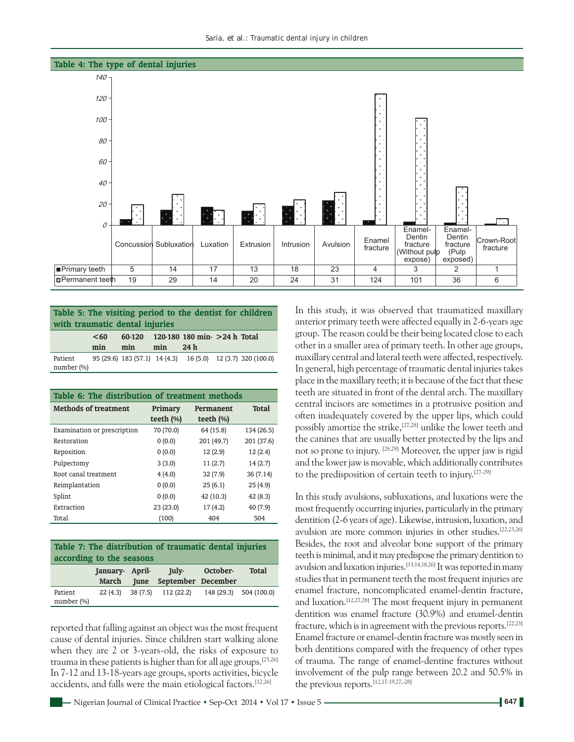

| Table 5: The visiting period to the dentist for children<br>with traumatic dental injuries |             |     |     |                                             |  |                                                             |
|--------------------------------------------------------------------------------------------|-------------|-----|-----|---------------------------------------------|--|-------------------------------------------------------------|
|                                                                                            | < 60<br>min | min | min | 60-120 120-180 180 min- > 24 h Total<br>24h |  |                                                             |
| Patient<br>number $(\%)$                                                                   |             |     |     |                                             |  | 95 (29.6) 183 (57.1) 14 (4.3) 16 (5.0) 12 (3.7) 320 (100.0) |

| Table 6: The distribution of treatment methods |                        |                            |            |  |
|------------------------------------------------|------------------------|----------------------------|------------|--|
| <b>Methods of treatment</b>                    | Primary<br>teeth $(%)$ | Permanent<br>teeth $(\% )$ | Total      |  |
| Examination or prescription                    | 70 (70.0)              | 64 (15.8)                  | 134 (26.5) |  |
| Restoration                                    | 0(0.0)                 | 201 (49.7)                 | 201 (37.6) |  |
| Reposition                                     | 0(0.0)                 | 12(2.9)                    | 12(2.4)    |  |
| Pulpectomy                                     | 3(3.0)                 | 11(2.7)                    | 14(2.7)    |  |
| Root canal treatment                           | 4(4.0)                 | 32(7.9)                    | 36(7.14)   |  |
| Reimplantation                                 | 0(0.0)                 | 25(6.1)                    | 25(4.9)    |  |
| Splint                                         | 0(0.0)                 | 42 (10.3)                  | 42(8.3)    |  |
| Extraction                                     | 23 (23.0)              | 17(4.2)                    | 40 (7.9)   |  |
| Total                                          | (100)                  | 404                        | 504        |  |

| Table 7: The distribution of traumatic dental injuries<br>according to the seasons |                         |             |                                   |          |              |
|------------------------------------------------------------------------------------|-------------------------|-------------|-----------------------------------|----------|--------------|
|                                                                                    | January April-<br>March | <b>Iune</b> | July-<br>September December       | October- | <b>Total</b> |
| Patient<br>number $(\%)$                                                           | $22(4.3)$ 38 (7.5)      |             | 112 (22.2) 148 (29.3) 504 (100.0) |          |              |

reported that falling against an object was the most frequent cause of dental injuries. Since children start walking alone when they are 2 or 3-years-old, the risks of exposure to trauma in these patients is higher than for all age groups.[25,26] In 7‑12 and 13‑18‑years age groups, sports activities, bicycle accidents, and falls were the main etiological factors.[12,26]

In this study, it was observed that traumatized maxillary anterior primary teeth were affected equally in 2‑6‑years age group. The reason could be their being located close to each other in a smaller area of primary teeth. In other age groups, maxillary central and lateral teeth were affected, respectively. In general, high percentage of traumatic dental injuries takes place in the maxillary teeth; it is because of the fact that these teeth are situated in front of the dental arch. The maxillary central incisors are sometimes in a protrusive position and often inadequately covered by the upper lips, which could possibly amortize the strike,[27,28] unlike the lower teeth and the canines that are usually better protected by the lips and not so prone to injury. [28,29] Moreover, the upper jaw is rigid and the lower jaw is movable, which additionally contributes to the predisposition of certain teeth to injury.[27‑29]

In this study avulsions, subluxations, and luxations were the most frequently occurring injuries, particularly in the primary dentition (2‑6 years of age). Likewise, intrusion, luxation, and avulsion are more common injuries in other studies.[22,23,26] Besides, the root and alveolar bone support of the primary teeth is minimal, and it may predispose the primary dentition to avulsion and luxation injuries.[13,14,18,26] It was reported in many studies that in permanent teeth the most frequent injuries are enamel fracture, noncomplicated enamel‑dentin fracture, and luxation.<sup>[12,27,28]</sup> The most frequent injury in permanent dentition was enamel fracture (30.9%) and enamel-dentin fracture, which is in agreement with the previous reports.[22,23] Enamel fracture or enamel‑dentin fracture was mostly seen in both dentitions compared with the frequency of other types of trauma. The range of enamel‑dentine fractures without involvement of the pulp range between 20.2 and 50.5% in the previous reports.[12,17‑19,27,‑28]